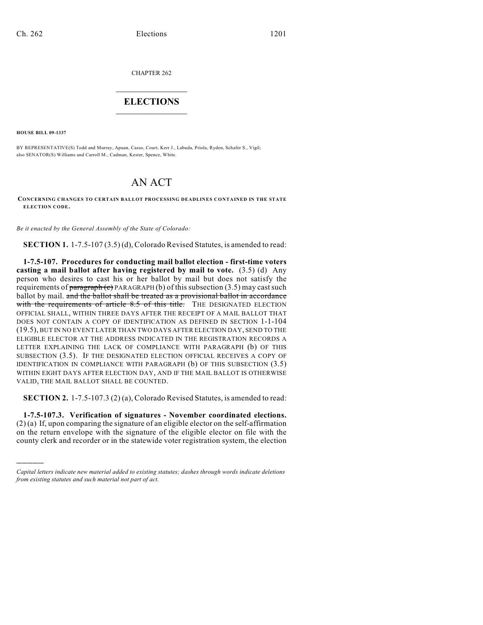CHAPTER 262

## $\mathcal{L}_\text{max}$  . The set of the set of the set of the set of the set of the set of the set of the set of the set of the set of the set of the set of the set of the set of the set of the set of the set of the set of the set **ELECTIONS**  $\_$

**HOUSE BILL 09-1337**

)))))

BY REPRESENTATIVE(S) Todd and Murray, Apuan, Casso, Court, Kerr J., Labuda, Priola, Ryden, Schafer S., Vigil; also SENATOR(S) Williams and Carroll M., Cadman, Kester, Spence, White.

## AN ACT

**CONCERNING CHANGES TO CERTAIN BALLOT PROCESSING DEADLINES CONTAINED IN THE STATE ELECTION CODE.**

*Be it enacted by the General Assembly of the State of Colorado:*

**SECTION 1.** 1-7.5-107 (3.5) (d), Colorado Revised Statutes, is amended to read:

**1-7.5-107. Procedures for conducting mail ballot election - first-time voters casting a mail ballot after having registered by mail to vote.** (3.5) (d) Any person who desires to cast his or her ballot by mail but does not satisfy the requirements of paragraph (c) PARAGRAPH (b) of this subsection (3.5) may cast such ballot by mail. and the ballot shall be treated as a provisional ballot in accordance with the requirements of article 8.5 of this title. THE DESIGNATED ELECTION OFFICIAL SHALL, WITHIN THREE DAYS AFTER THE RECEIPT OF A MAIL BALLOT THAT DOES NOT CONTAIN A COPY OF IDENTIFICATION AS DEFINED IN SECTION 1-1-104 (19.5), BUT IN NO EVENT LATER THAN TWO DAYS AFTER ELECTION DAY, SEND TO THE ELIGIBLE ELECTOR AT THE ADDRESS INDICATED IN THE REGISTRATION RECORDS A LETTER EXPLAINING THE LACK OF COMPLIANCE WITH PARAGRAPH (b) OF THIS SUBSECTION (3.5). IF THE DESIGNATED ELECTION OFFICIAL RECEIVES A COPY OF IDENTIFICATION IN COMPLIANCE WITH PARAGRAPH (b) OF THIS SUBSECTION (3.5) WITHIN EIGHT DAYS AFTER ELECTION DAY, AND IF THE MAIL BALLOT IS OTHERWISE VALID, THE MAIL BALLOT SHALL BE COUNTED.

**SECTION 2.** 1-7.5-107.3 (2) (a), Colorado Revised Statutes, is amended to read:

**1-7.5-107.3. Verification of signatures - November coordinated elections.** (2) (a) If, upon comparing the signature of an eligible elector on the self-affirmation on the return envelope with the signature of the eligible elector on file with the county clerk and recorder or in the statewide voter registration system, the election

*Capital letters indicate new material added to existing statutes; dashes through words indicate deletions from existing statutes and such material not part of act.*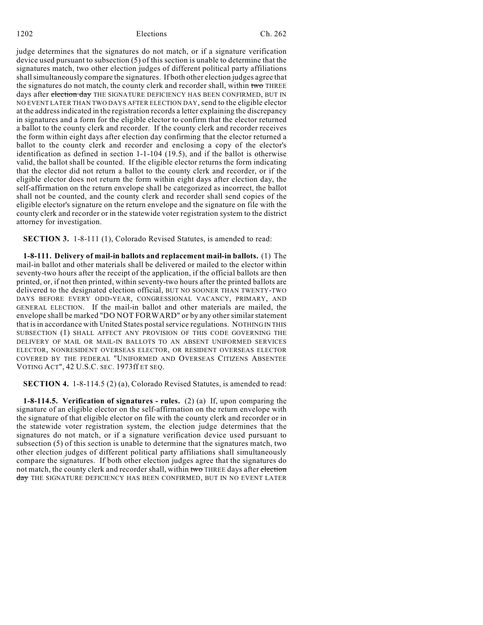1202 Elections Ch. 262

judge determines that the signatures do not match, or if a signature verification device used pursuant to subsection (5) of this section is unable to determine that the signatures match, two other election judges of different political party affiliations shall simultaneously compare the signatures. If both other election judges agree that the signatures do not match, the county clerk and recorder shall, within two THREE days after election day THE SIGNATURE DEFICIENCY HAS BEEN CONFIRMED, BUT IN NO EVENT LATER THAN TWO DAYS AFTER ELECTION DAY, send to the eligible elector at the address indicated in the registration records a letter explaining the discrepancy in signatures and a form for the eligible elector to confirm that the elector returned a ballot to the county clerk and recorder. If the county clerk and recorder receives the form within eight days after election day confirming that the elector returned a ballot to the county clerk and recorder and enclosing a copy of the elector's identification as defined in section 1-1-104 (19.5), and if the ballot is otherwise valid, the ballot shall be counted. If the eligible elector returns the form indicating that the elector did not return a ballot to the county clerk and recorder, or if the eligible elector does not return the form within eight days after election day, the self-affirmation on the return envelope shall be categorized as incorrect, the ballot shall not be counted, and the county clerk and recorder shall send copies of the eligible elector's signature on the return envelope and the signature on file with the county clerk and recorder or in the statewide voter registration system to the district attorney for investigation.

**SECTION 3.** 1-8-111 (1), Colorado Revised Statutes, is amended to read:

**1-8-111. Delivery of mail-in ballots and replacement mail-in ballots.** (1) The mail-in ballot and other materials shall be delivered or mailed to the elector within seventy-two hours after the receipt of the application, if the official ballots are then printed, or, if not then printed, within seventy-two hours after the printed ballots are delivered to the designated election official, BUT NO SOONER THAN TWENTY-TWO DAYS BEFORE EVERY ODD-YEAR, CONGRESSIONAL VACANCY, PRIMARY, AND GENERAL ELECTION. If the mail-in ballot and other materials are mailed, the envelope shall be marked "DO NOT FORWARD" or by any other similar statement that is in accordance with United States postal service regulations. NOTHING IN THIS SUBSECTION (1) SHALL AFFECT ANY PROVISION OF THIS CODE GOVERNING THE DELIVERY OF MAIL OR MAIL-IN BALLOTS TO AN ABSENT UNIFORMED SERVICES ELECTOR, NONRESIDENT OVERSEAS ELECTOR, OR RESIDENT OVERSEAS ELECTOR COVERED BY THE FEDERAL "UNIFORMED AND OVERSEAS CITIZENS ABSENTEE VOTING ACT", 42 U.S.C. SEC. 1973ff ET SEQ.

**SECTION 4.** 1-8-114.5 (2) (a), Colorado Revised Statutes, is amended to read:

**1-8-114.5. Verification of signatures - rules.** (2) (a) If, upon comparing the signature of an eligible elector on the self-affirmation on the return envelope with the signature of that eligible elector on file with the county clerk and recorder or in the statewide voter registration system, the election judge determines that the signatures do not match, or if a signature verification device used pursuant to subsection (5) of this section is unable to determine that the signatures match, two other election judges of different political party affiliations shall simultaneously compare the signatures. If both other election judges agree that the signatures do not match, the county clerk and recorder shall, within two THREE days after election day THE SIGNATURE DEFICIENCY HAS BEEN CONFIRMED, BUT IN NO EVENT LATER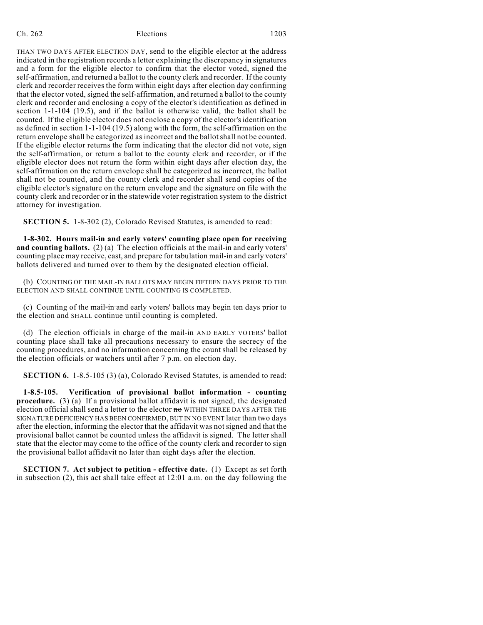## Ch. 262 Elections 1203

THAN TWO DAYS AFTER ELECTION DAY, send to the eligible elector at the address indicated in the registration records a letter explaining the discrepancy in signatures and a form for the eligible elector to confirm that the elector voted, signed the self-affirmation, and returned a ballot to the county clerk and recorder. If the county clerk and recorder receives the form within eight days after election day confirming that the elector voted, signed the self-affirmation, and returned a ballot to the county clerk and recorder and enclosing a copy of the elector's identification as defined in section 1-1-104 (19.5), and if the ballot is otherwise valid, the ballot shall be counted. If the eligible elector does not enclose a copy of the elector's identification as defined in section 1-1-104 (19.5) along with the form, the self-affirmation on the return envelope shall be categorized as incorrect and the ballot shall not be counted. If the eligible elector returns the form indicating that the elector did not vote, sign the self-affirmation, or return a ballot to the county clerk and recorder, or if the eligible elector does not return the form within eight days after election day, the self-affirmation on the return envelope shall be categorized as incorrect, the ballot shall not be counted, and the county clerk and recorder shall send copies of the eligible elector's signature on the return envelope and the signature on file with the county clerk and recorder or in the statewide voter registration system to the district attorney for investigation.

**SECTION 5.** 1-8-302 (2), Colorado Revised Statutes, is amended to read:

**1-8-302. Hours mail-in and early voters' counting place open for receiving and counting ballots.** (2) (a) The election officials at the mail-in and early voters' counting place may receive, cast, and prepare for tabulation mail-in and early voters' ballots delivered and turned over to them by the designated election official.

(b) COUNTING OF THE MAIL-IN BALLOTS MAY BEGIN FIFTEEN DAYS PRIOR TO THE ELECTION AND SHALL CONTINUE UNTIL COUNTING IS COMPLETED.

(c) Counting of the mail-in and early voters' ballots may begin ten days prior to the election and SHALL continue until counting is completed.

(d) The election officials in charge of the mail-in AND EARLY VOTERS' ballot counting place shall take all precautions necessary to ensure the secrecy of the counting procedures, and no information concerning the count shall be released by the election officials or watchers until after 7 p.m. on election day.

**SECTION 6.** 1-8.5-105 (3) (a), Colorado Revised Statutes, is amended to read:

**1-8.5-105. Verification of provisional ballot information - counting procedure.** (3) (a) If a provisional ballot affidavit is not signed, the designated election official shall send a letter to the elector no WITHIN THREE DAYS AFTER THE SIGNATURE DEFICIENCY HAS BEEN CONFIRMED, BUT IN NO EVENT later than two days after the election, informing the elector that the affidavit was not signed and that the provisional ballot cannot be counted unless the affidavit is signed. The letter shall state that the elector may come to the office of the county clerk and recorder to sign the provisional ballot affidavit no later than eight days after the election.

**SECTION 7. Act subject to petition - effective date.** (1) Except as set forth in subsection (2), this act shall take effect at 12:01 a.m. on the day following the